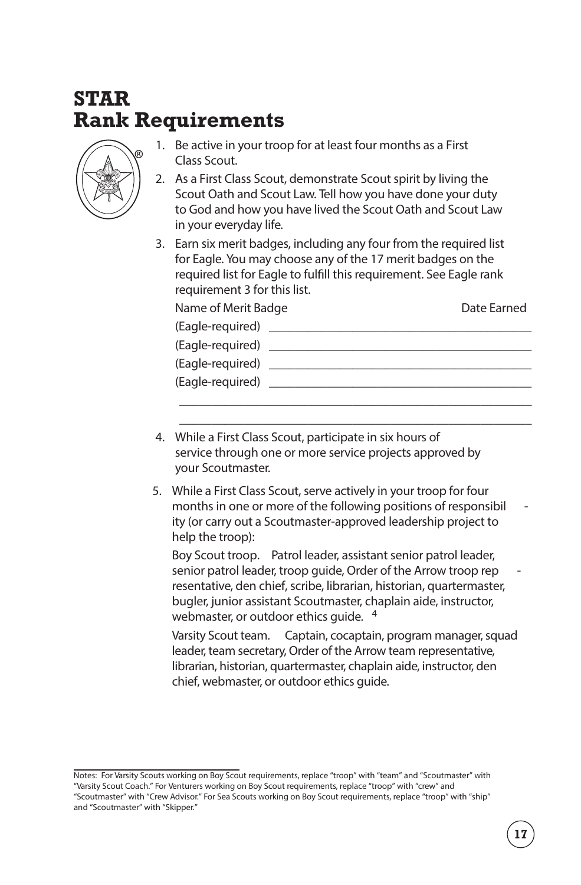## **STAR Rank Requirements**



- 1. Be active in your troop for at least four months as a First Class Scout.
- 2. As a First Class Scout, demonstrate Scout spirit by living the Scout Oath and Scout Law. Tell how you have done your duty to God and how you have lived the Scout Oath and Scout Law in your everyday life.
- 3. Earn six merit badges, including any four from the required list for Eagle. You may choose any of the 17 merit badges on the required list for Eagle to fulfill this requirement. See Eagle rank requirement 3 for this list.

| Name of Merit Badge |  | Date Earned |
|---------------------|--|-------------|
| (Eagle-required)    |  |             |
| (Eagle-required)    |  |             |
| (Eagle-required)    |  |             |
| (Eagle-reguired)    |  |             |
|                     |  |             |

\_\_\_\_\_\_\_\_\_\_\_\_\_\_\_\_\_\_\_\_\_\_\_\_\_\_\_\_\_\_\_\_\_\_\_\_\_\_\_\_\_\_\_\_\_\_\_\_\_\_\_\_\_\_\_ \_\_\_\_\_\_\_\_\_\_\_\_\_\_\_\_\_\_\_\_\_\_\_\_\_\_\_\_\_\_\_\_\_\_\_\_\_\_\_\_\_\_\_\_\_\_\_\_\_\_\_\_\_\_\_

- 4. While a First Class Scout, participate in six hours of service through one or more service projects approved by your Scoutmaster.
- 5. While a First Class Scout, serve actively in your troop for four months in one or more of the following positions of responsibil ity (or carry out a Scoutmaster-approved leadership project to help the troop):

**Boy Scout troop.** Patrol leader, assistant senior patrol leader, senior patrol leader, troop guide, Order of the Arrow troop rep resentative, den chief, scribe, librarian, historian, quartermaster, bugler, junior assistant Scoutmaster, chaplain aide, instructor, webmaster, or outdoor ethics quide. <sup>4</sup>

**Varsity Scout team.** Captain, cocaptain, program manager, squad leader, team secretary, Order of the Arrow team representative, librarian, historian, quartermaster, chaplain aide, instructor, den chief, webmaster, or outdoor ethics guide.

**Notes:** For Varsity Scouts working on Boy Scout requirements, replace "troop" with "team" and "Scoutmaster" with "Varsity Scout Coach." For Venturers working on Boy Scout requirements, replace "troop" with "crew" and "Scoutmaster" with "Crew Advisor." For Sea Scouts working on Boy Scout requirements, replace "troop" with "ship" and "Scoutmaster" with "Skipper."